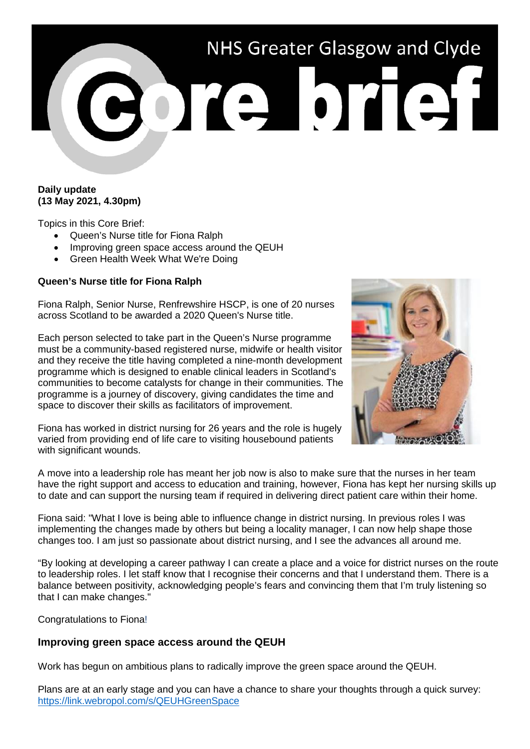# NHS Greater Glasgow and Clyde

## **Daily update (13 May 2021, 4.30pm)**

Topics in this Core Brief:

- Queen's Nurse title for Fiona Ralph
- Improving green space access around the QEUH
- Green Health Week What We're Doing

## **Queen's Nurse title for Fiona Ralph**

Fiona Ralph, Senior Nurse, Renfrewshire HSCP, is one of 20 nurses across Scotland to be awarded a 2020 Queen's Nurse title.

Each person selected to take part in the Queen's Nurse programme must be a community-based registered nurse, midwife or health visitor and they receive the title having completed a nine-month development programme which is designed to enable clinical leaders in Scotland's communities to become catalysts for change in their communities. The programme is a journey of discovery, giving candidates the time and space to discover their skills as facilitators of improvement.

Fiona has worked in district nursing for 26 years and the role is hugely varied from providing end of life care to visiting housebound patients with significant wounds.



A move into a leadership role has meant her job now is also to make sure that the nurses in her team have the right support and access to education and training, however, Fiona has kept her nursing skills up to date and can support the nursing team if required in delivering direct patient care within their home.

Fiona said: "What I love is being able to influence change in district nursing. In previous roles I was implementing the changes made by others but being a locality manager, I can now help shape those changes too. I am just so passionate about district nursing, and I see the advances all around me.

"By looking at developing a career pathway I can create a place and a voice for district nurses on the route to leadership roles. I let staff know that I recognise their concerns and that I understand them. There is a balance between positivity, acknowledging people's fears and convincing them that I'm truly listening so that I can make changes."

Congratulations to Fiona!

# **Improving green space access around the QEUH**

Work has begun on ambitious plans to radically improve the green space around the QEUH.

Plans are at an early stage and you can have a chance to share your thoughts through a quick survey: <https://link.webropol.com/s/QEUHGreenSpace>